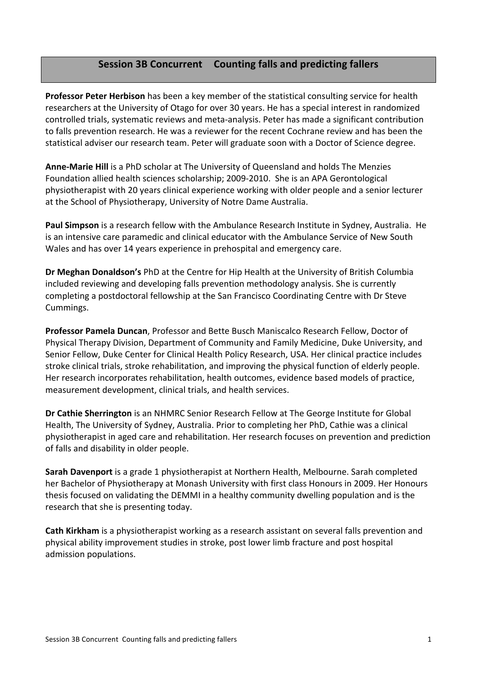# **Session'3B'Concurrent Counting'falls'and'predicting'fallers**

**Professor Peter Herbison** has been a key member of the statistical consulting service for health researchers at the University of Otago for over 30 years. He has a special interest in randomized controlled trials, systematic reviews and meta-analysis. Peter has made a significant contribution to falls prevention research. He was a reviewer for the recent Cochrane review and has been the statistical adviser our research team. Peter will graduate soon with a Doctor of Science degree.

**Anne-Marie Hill** is a PhD scholar at The University of Queensland and holds The Menzies Foundation allied health sciences scholarship; 2009-2010. She is an APA Gerontological physiotherapist with 20 years clinical experience working with older people and a senior lecturer at the School of Physiotherapy, University of Notre Dame Australia.

**Paul Simpson** is a research fellow with the Ambulance Research Institute in Sydney, Australia. He is an intensive care paramedic and clinical educator with the Ambulance Service of New South Wales and has over 14 years experience in prehospital and emergency care.

**Dr Meghan Donaldson's** PhD at the Centre for Hip Health at the University of British Columbia included reviewing and developing falls prevention methodology analysis. She is currently completing a postdoctoral fellowship at the San Francisco Coordinating Centre with Dr Steve Cummings.

Professor Pamela Duncan, Professor and Bette Busch Maniscalco Research Fellow, Doctor of Physical Therapy Division, Department of Community and Family Medicine, Duke University, and Senior Fellow, Duke Center for Clinical Health Policy Research, USA. Her clinical practice includes stroke clinical trials, stroke rehabilitation, and improving the physical function of elderly people. Her research incorporates rehabilitation, health outcomes, evidence based models of practice, measurement development, clinical trials, and health services.

**Dr Cathie Sherrington** is an NHMRC Senior Research Fellow at The George Institute for Global Health, The University of Sydney, Australia. Prior to completing her PhD, Cathie was a clinical physiotherapist in aged care and rehabilitation. Her research focuses on prevention and prediction of falls and disability in older people.

**Sarah Davenport** is a grade 1 physiotherapist at Northern Health, Melbourne. Sarah completed her Bachelor of Physiotherapy at Monash University with first class Honours in 2009. Her Honours' thesis focused on validating the DEMMI in a healthy community dwelling population and is the research that she is presenting today.

**Cath Kirkham** is a physiotherapist working as a research assistant on several falls prevention and physical ability improvement studies in stroke, post lower limb fracture and post hospital admission populations.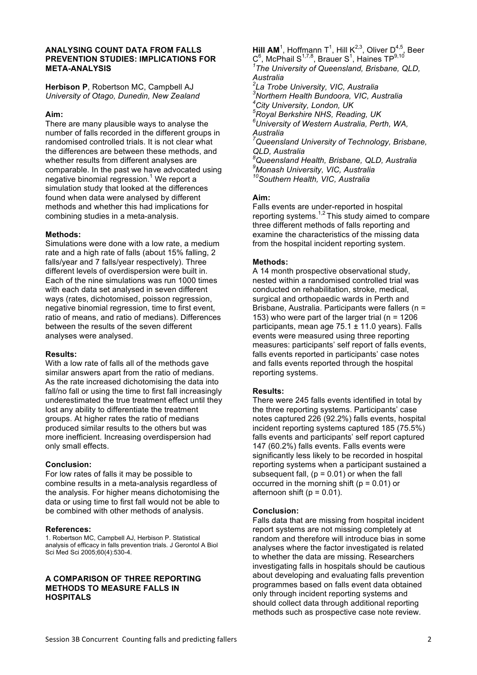## **ANALYSING COUNT DATA FROM FALLS PREVENTION STUDIES: IMPLICATIONS FOR META-ANALYSIS**

**Herbison P**, Robertson MC, Campbell AJ *University of Otago, Dunedin, New Zealand*

### **Aim:**

There are many plausible ways to analyse the number of falls recorded in the different groups in randomised controlled trials. It is not clear what the differences are between these methods, and whether results from different analyses are comparable. In the past we have advocated using negative binomial regression.<sup>1</sup> We report a simulation study that looked at the differences found when data were analysed by different methods and whether this had implications for combining studies in a meta-analysis.

#### **Methods:**

Simulations were done with a low rate, a medium rate and a high rate of falls (about 15% falling, 2 falls/year and 7 falls/year respectively). Three different levels of overdispersion were built in. Each of the nine simulations was run 1000 times with each data set analysed in seven different ways (rates, dichotomised, poisson regression, negative binomial regression, time to first event, ratio of means, and ratio of medians). Differences between the results of the seven different analyses were analysed.

#### **Results:**

With a low rate of falls all of the methods gave similar answers apart from the ratio of medians. As the rate increased dichotomising the data into fall/no fall or using the time to first fall increasingly underestimated the true treatment effect until they lost any ability to differentiate the treatment groups. At higher rates the ratio of medians produced similar results to the others but was more inefficient. Increasing overdispersion had only small effects.

# **Conclusion:**

For low rates of falls it may be possible to combine results in a meta-analysis regardless of the analysis. For higher means dichotomising the data or using time to first fall would not be able to be combined with other methods of analysis.

#### **References:**

1. Robertson MC, Campbell AJ, Herbison P. Statistical analysis of efficacy in falls prevention trials. J Gerontol A Biol Sci Med Sci 2005;60(4):530-4.

## **A COMPARISON OF THREE REPORTING METHODS TO MEASURE FALLS IN HOSPITALS**

**Hill AM**<sup>1</sup>, Hoffmann T<sup>1</sup>, Hill K<sup>2,3</sup>, Oliver D<sup>4,5</sup>, Beer  $\textsf{C}^{6}$ , McPhail S<sup>1,7,8</sup>, Brauer S<sup>1</sup>, Haines TP<sup>9,10</sup> *1 The University of Queensland, Brisbane, QLD,* 

*Australia 2 La Trobe University, VIC, Australia*

*3 Northern Health Bundoora, VIC, Australia 4 City University, London, UK*

*5 Royal Berkshire NHS, Reading, UK*

*6 University of Western Australia, Perth, WA, Australia 7*

*Queensland University of Technology, Brisbane, QLD, Australia*

*8 Queensland Health, Brisbane, QLD, Australia 9 Monash University, VIC, Australia 10Southern Health, VIC, Australia*

# **Aim:**

Falls events are under-reported in hospital reporting systems.<sup>1,2</sup> This study aimed to compare three different methods of falls reporting and examine the characteristics of the missing data from the hospital incident reporting system.

## **Methods:**

A 14 month prospective observational study, nested within a randomised controlled trial was conducted on rehabilitation, stroke, medical, surgical and orthopaedic wards in Perth and Brisbane, Australia. Participants were fallers (n = 153) who were part of the larger trial ( $n = 1206$ participants, mean age  $75.1 \pm 11.0$  years). Falls events were measured using three reporting measures: participants' self report of falls events, falls events reported in participants' case notes and falls events reported through the hospital reporting systems.

# **Results:**

There were 245 falls events identified in total by the three reporting systems. Participants' case notes captured 226 (92.2%) falls events, hospital incident reporting systems captured 185 (75.5%) falls events and participants' self report captured 147 (60.2%) falls events. Falls events were significantly less likely to be recorded in hospital reporting systems when a participant sustained a subsequent fall,  $(p = 0.01)$  or when the fall occurred in the morning shift ( $p = 0.01$ ) or afternoon shift ( $p = 0.01$ ).

# **Conclusion:**

Falls data that are missing from hospital incident report systems are not missing completely at random and therefore will introduce bias in some analyses where the factor investigated is related to whether the data are missing. Researchers investigating falls in hospitals should be cautious about developing and evaluating falls prevention programmes based on falls event data obtained only through incident reporting systems and should collect data through additional reporting methods such as prospective case note review.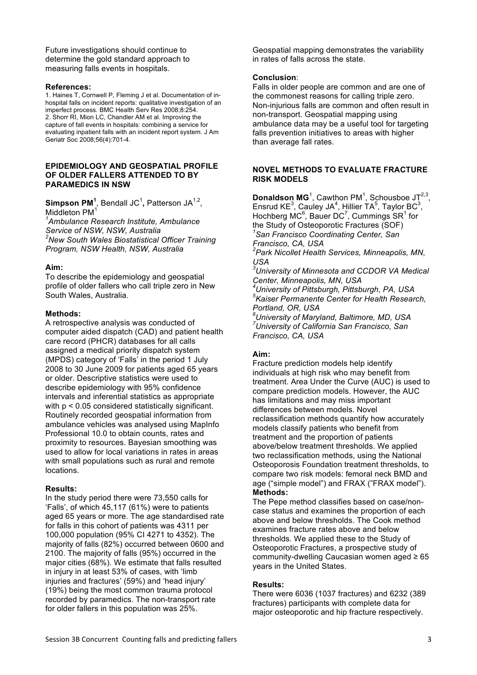Future investigations should continue to determine the gold standard approach to measuring falls events in hospitals.

#### **References:**

1. Haines T, Cornwell P, Fleming J et al. Documentation of inhospital falls on incident reports: qualitative investigation of an imperfect process. BMC Health Serv Res 2008;8:254. 2. Shorr RI, Mion LC, Chandler AM et al. Improving the capture of fall events in hospitals: combining a service for evaluating inpatient falls with an incident report system. J Am Geriatr Soc 2008;56(4):701-4.

#### **EPIDEMIOLOGY AND GEOSPATIAL PROFILE OF OLDER FALLERS ATTENDED TO BY PARAMEDICS IN NSW**

**Simpson PM<sup>1</sup>**, Bendall JC<sup>1</sup>, Patterson JA<sup>1,2</sup>, Middleton PM<sup>1</sup>

*1 Ambulance Research Institute, Ambulance Service of NSW, NSW, Australia 2 New South Wales Biostatistical Officer Training Program, NSW Health, NSW, Australia*

#### **Aim:**

To describe the epidemiology and geospatial profile of older fallers who call triple zero in New South Wales, Australia.

#### **Methods:**

A retrospective analysis was conducted of computer aided dispatch (CAD) and patient health care record (PHCR) databases for all calls assigned a medical priority dispatch system (MPDS) category of 'Falls' in the period 1 July 2008 to 30 June 2009 for patients aged 65 years or older. Descriptive statistics were used to describe epidemiology with 95% confidence intervals and inferential statistics as appropriate with  $p < 0.05$  considered statistically significant. Routinely recorded geospatial information from ambulance vehicles was analysed using MapInfo Professional 10.0 to obtain counts, rates and proximity to resources. Bayesian smoothing was used to allow for local variations in rates in areas with small populations such as rural and remote locations.

#### **Results:**

In the study period there were 73,550 calls for 'Falls', of which 45,117 (61%) were to patients aged 65 years or more. The age standardised rate for falls in this cohort of patients was 4311 per 100,000 population (95% CI 4271 to 4352). The majority of falls (82%) occurred between 0600 and 2100. The majority of falls (95%) occurred in the major cities (68%). We estimate that falls resulted in injury in at least 53% of cases, with 'limb injuries and fractures' (59%) and 'head injury' (19%) being the most common trauma protocol recorded by paramedics. The non-transport rate for older fallers in this population was 25%.

Geospatial mapping demonstrates the variability in rates of falls across the state.

#### **Conclusion**:

Falls in older people are common and are one of the commonest reasons for calling triple zero. Non-injurious falls are common and often result in non-transport. Geospatial mapping using ambulance data may be a useful tool for targeting falls prevention initiatives to areas with higher than average fall rates.

#### **NOVEL METHODS TO EVALUATE FRACTURE RISK MODELS**

**Donaldson MG**<sup>1</sup>, Cawthon PM<sup>1</sup>, Schousboe JT<sup>2,3</sup>, Ensrud KE<sup>3</sup>, Cauley JA<sup>4</sup>, Hillier TA<sup>5</sup>, Taylor BC<sup>3</sup>, Hochberg MC $<sup>6</sup>$ , Bauer DC<sup>7</sup>, Cummings SR<sup>1</sup> for</sup> the Study of Osteoporotic Fractures (SOF) *1 San Francisco Coordinating Center, San Francisco, CA, USA 2 Park Nicollet Health Services, Minneapolis, MN, USA 3 University of Minnesota and CCDOR VA Medical Center, Minneapolis, MN, USA 4 University of Pittsburgh, Pittsburgh, PA, USA 5 Kaiser Permanente Center for Health Research, Portland, OR, USA 6 University of Maryland, Baltimore, MD, USA 7 University of California San Francisco, San* 

*Francisco, CA, USA*

## **Aim:**

Fracture prediction models help identify individuals at high risk who may benefit from treatment. Area Under the Curve (AUC) is used to compare prediction models. However, the AUC has limitations and may miss important differences between models. Novel reclassification methods quantify how accurately models classify patients who benefit from treatment and the proportion of patients above/below treatment thresholds. We applied two reclassification methods, using the National Osteoporosis Foundation treatment thresholds, to compare two risk models: femoral neck BMD and age ("simple model") and FRAX ("FRAX model"). **Methods:**

The Pepe method classifies based on case/noncase status and examines the proportion of each above and below thresholds. The Cook method examines fracture rates above and below thresholds. We applied these to the Study of Osteoporotic Fractures, a prospective study of community-dwelling Caucasian women aged ≥ 65 years in the United States.

#### **Results:**

There were 6036 (1037 fractures) and 6232 (389 fractures) participants with complete data for major osteoporotic and hip fracture respectively.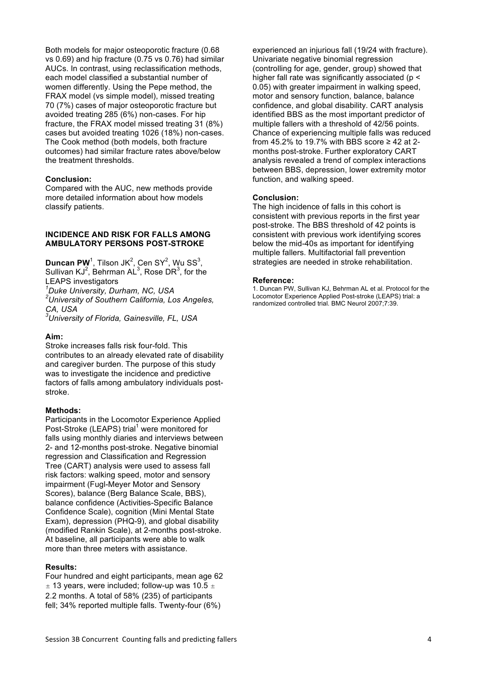Both models for major osteoporotic fracture (0.68 vs 0.69) and hip fracture (0.75 vs 0.76) had similar AUCs. In contrast, using reclassification methods, each model classified a substantial number of women differently. Using the Pepe method, the FRAX model (vs simple model), missed treating 70 (7%) cases of major osteoporotic fracture but avoided treating 285 (6%) non-cases. For hip fracture, the FRAX model missed treating 31 (8%) cases but avoided treating 1026 (18%) non-cases. The Cook method (both models, both fracture outcomes) had similar fracture rates above/below the treatment thresholds.

#### **Conclusion:**

Compared with the AUC, new methods provide more detailed information about how models classify patients.

#### **INCIDENCE AND RISK FOR FALLS AMONG AMBULATORY PERSONS POST-STROKE**

**Duncan PW**<sup>1</sup>, Tilson JK<sup>2</sup>, Cen SY<sup>2</sup>, Wu SS<sup>3</sup>, Sullivan KJ<sup>2</sup>, Behrman AL<sup>3</sup>, Rose DR<sup>3</sup>, for the LEAPS investigators

*1 Duke University, Durham, NC, USA*

*2 University of Southern California, Los Angeles, CA, USA*

*3 University of Florida, Gainesville, FL, USA*

### **Aim:**

Stroke increases falls risk four-fold. This contributes to an already elevated rate of disability and caregiver burden. The purpose of this study was to investigate the incidence and predictive factors of falls among ambulatory individuals poststroke.

#### **Methods:**

Participants in the Locomotor Experience Applied Post-Stroke (LEAPS) trial<sup>1</sup> were monitored for falls using monthly diaries and interviews between 2- and 12-months post-stroke. Negative binomial regression and Classification and Regression Tree (CART) analysis were used to assess fall risk factors: walking speed, motor and sensory impairment (Fugl-Meyer Motor and Sensory Scores), balance (Berg Balance Scale, BBS), balance confidence (Activities-Specific Balance Confidence Scale), cognition (Mini Mental State Exam), depression (PHQ-9), and global disability (modified Rankin Scale), at 2-months post-stroke. At baseline, all participants were able to walk more than three meters with assistance.

#### **Results:**

Four hundred and eight participants, mean age 62  $\pm$  13 years, were included; follow-up was 10.5  $\pm$ 2.2 months. A total of 58% (235) of participants fell; 34% reported multiple falls. Twenty-four (6%)

experienced an injurious fall (19/24 with fracture). Univariate negative binomial regression (controlling for age, gender, group) showed that higher fall rate was significantly associated (p < 0.05) with greater impairment in walking speed, motor and sensory function, balance, balance confidence, and global disability. CART analysis identified BBS as the most important predictor of multiple fallers with a threshold of 42/56 points. Chance of experiencing multiple falls was reduced from 45.2% to 19.7% with BBS score  $\geq$  42 at 2months post-stroke. Further exploratory CART analysis revealed a trend of complex interactions between BBS, depression, lower extremity motor function, and walking speed.

### **Conclusion:**

The high incidence of falls in this cohort is consistent with previous reports in the first year post-stroke. The BBS threshold of 42 points is consistent with previous work identifying scores below the mid-40s as important for identifying multiple fallers. Multifactorial fall prevention strategies are needed in stroke rehabilitation.

#### **Reference:**

1. Duncan PW, Sullivan KJ, Behrman AL et al. Protocol for the Locomotor Experience Applied Post-stroke (LEAPS) trial: a randomized controlled trial. BMC Neurol 2007;7:39.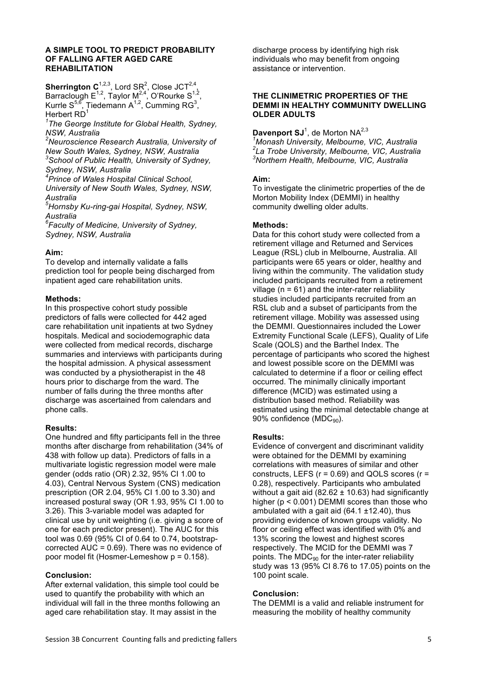#### **A SIMPLE TOOL TO PREDICT PROBABILITY OF FALLING AFTER AGED CARE REHABILITATION**

**Sherrington C**<sup>1,2,3</sup>, Lord SR<sup>2</sup>, Close JCT<sup>2,4</sup>, Barraclough  $E^{1,2}$ , Taylor M<sup>2,4</sup>, O'Rourke S<sup>1,2</sup>, Kurrle S<sup>5,6</sup>, Tiedemann A<sup>1,2</sup>, Cumming RG<sup>3</sup>, Herbert  $RD<sup>1</sup>$ 

*1 The George Institute for Global Health, Sydney, NSW, Australia*

*2 Neuroscience Research Australia, University of New South Wales, Sydney, NSW, Australia 3 School of Public Health, University of Sydney,* 

*Sydney, NSW, Australia*

*4 Prince of Wales Hospital Clinical School,* 

*University of New South Wales, Sydney, NSW, Australia*

*5 Hornsby Ku-ring-gai Hospital, Sydney, NSW, Australia*

*6 Faculty of Medicine, University of Sydney, Sydney, NSW, Australia*

## **Aim:**

To develop and internally validate a falls prediction tool for people being discharged from inpatient aged care rehabilitation units.

#### **Methods:**

In this prospective cohort study possible predictors of falls were collected for 442 aged care rehabilitation unit inpatients at two Sydney hospitals. Medical and sociodemographic data were collected from medical records, discharge summaries and interviews with participants during the hospital admission. A physical assessment was conducted by a physiotherapist in the 48 hours prior to discharge from the ward. The number of falls during the three months after discharge was ascertained from calendars and phone calls.

# **Results:**

One hundred and fifty participants fell in the three months after discharge from rehabilitation (34% of 438 with follow up data). Predictors of falls in a multivariate logistic regression model were male gender (odds ratio (OR) 2.32, 95% CI 1.00 to 4.03), Central Nervous System (CNS) medication prescription (OR 2.04, 95% CI 1.00 to 3.30) and increased postural sway (OR 1.93, 95% CI 1.00 to 3.26). This 3-variable model was adapted for clinical use by unit weighting (i.e. giving a score of one for each predictor present). The AUC for this tool was 0.69 (95% CI of 0.64 to 0.74, bootstrapcorrected AUC = 0.69). There was no evidence of poor model fit (Hosmer-Lemeshow p = 0.158).

# **Conclusion:**

After external validation, this simple tool could be used to quantify the probability with which an individual will fall in the three months following an aged care rehabilitation stay. It may assist in the

discharge process by identifying high risk individuals who may benefit from ongoing assistance or intervention.

### **THE CLINIMETRIC PROPERTIES OF THE DEMMI IN HEALTHY COMMUNITY DWELLING OLDER ADULTS**

Davenport SJ<sup>1</sup>, de Morton NA<sup>2,3</sup>

*1 Monash University, Melbourne, VIC, Australia 2 La Trobe University, Melbourne, VIC, Australia 3 Northern Health, Melbourne, VIC, Australia*

## **Aim:**

To investigate the clinimetric properties of the de Morton Mobility Index (DEMMI) in healthy community dwelling older adults.

## **Methods:**

Data for this cohort study were collected from a retirement village and Returned and Services League (RSL) club in Melbourne, Australia. All participants were 65 years or older, healthy and living within the community. The validation study included participants recruited from a retirement village ( $n = 61$ ) and the inter-rater reliability studies included participants recruited from an RSL club and a subset of participants from the retirement village. Mobility was assessed using the DEMMI. Questionnaires included the Lower Extremity Functional Scale (LEFS), Quality of Life Scale (QOLS) and the Barthel Index. The percentage of participants who scored the highest and lowest possible score on the DEMMI was calculated to determine if a floor or ceiling effect occurred. The minimally clinically important difference (MCID) was estimated using a distribution based method. Reliability was estimated using the minimal detectable change at 90% confidence (MDC<sub>90</sub>).

#### **Results:**

Evidence of convergent and discriminant validity were obtained for the DEMMI by examining correlations with measures of similar and other constructs, LEFS  $(r = 0.69)$  and QOLS scores  $(r =$ 0.28), respectively. Participants who ambulated without a gait aid (82.62  $\pm$  10.63) had significantly higher (p < 0.001) DEMMI scores than those who ambulated with a gait aid  $(64.1 \pm 12.40)$ , thus providing evidence of known groups validity. No floor or ceiling effect was identified with 0% and 13% scoring the lowest and highest scores respectively. The MCID for the DEMMI was 7 points. The  $MDC_{90}$  for the inter-rater reliability study was 13 (95% CI 8.76 to 17.05) points on the 100 point scale.

# **Conclusion:**

The DEMMI is a valid and reliable instrument for measuring the mobility of healthy community